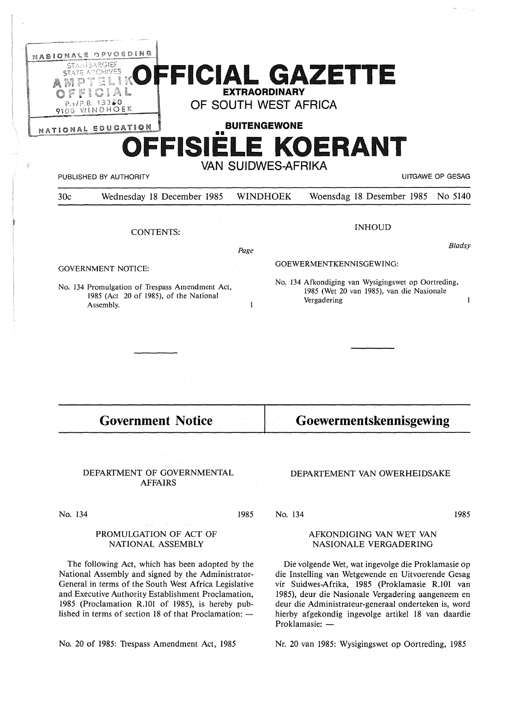| OPVOEDING<br>NASIONALE<br><b>STAATSARGIEF</b><br>RCHIVES                                                    | FFICIAL GAZETTE                              |                           |                                                                                                                       |                              |  |                  |
|-------------------------------------------------------------------------------------------------------------|----------------------------------------------|---------------------------|-----------------------------------------------------------------------------------------------------------------------|------------------------------|--|------------------|
| P.s/P.B. 13260                                                                                              | OF SOUTH WEST AFRICA                         | <b>EXTRAORDINARY</b>      |                                                                                                                       |                              |  |                  |
| 9100 WINDHOEK                                                                                               |                                              | <b>BUITENGEWONE</b>       |                                                                                                                       |                              |  |                  |
| NATIONAL EDUCATION                                                                                          | 劉爵                                           |                           |                                                                                                                       |                              |  |                  |
|                                                                                                             | OFFISIELE KOERANT                            |                           |                                                                                                                       |                              |  |                  |
| PUBLISHED BY AUTHORITY                                                                                      |                                              | <b>VAN SUIDWES-AFRIKA</b> |                                                                                                                       |                              |  | UITGAWE OP GESAG |
| 30c                                                                                                         | Wednesday 18 December 1985                   | <b>WINDHOEK</b>           |                                                                                                                       | Woensdag 18 Desember 1985    |  | No 5140          |
|                                                                                                             | <b>CONTENTS:</b>                             |                           |                                                                                                                       | <b>INHOUD</b>                |  |                  |
|                                                                                                             |                                              | Page                      |                                                                                                                       |                              |  | Bladsy           |
| <b>GOVERNMENT NOTICE:</b>                                                                                   |                                              |                           | GOEWERMENTKENNISGEWING:                                                                                               |                              |  |                  |
| No. 134 Promulgation of Trespass Amendment Act,<br>1985 (Act 20 of 1985), of the National<br>Assembly.<br>1 |                                              |                           | No. 134 Afkondiging van Wysigingswet op Oortreding,<br>1985 (Wet 20 van 1985), van die Nasionale<br>Vergadering<br>-1 |                              |  |                  |
|                                                                                                             |                                              |                           |                                                                                                                       |                              |  |                  |
|                                                                                                             |                                              |                           |                                                                                                                       |                              |  |                  |
|                                                                                                             | <b>Government Notice</b>                     |                           |                                                                                                                       | Goewermentskennisgewing      |  |                  |
|                                                                                                             | and the state of the state                   |                           |                                                                                                                       |                              |  |                  |
|                                                                                                             | DEPARTMENT OF GOVERNMENTAL<br><b>AFFAIRS</b> |                           |                                                                                                                       | DEPARTEMENT VAN OWERHEIDSAKE |  |                  |
| No. 134                                                                                                     |                                              | 1985                      | No. 134                                                                                                               |                              |  | 1985             |
| a sa sangaig na Kabupatèn Ing<br>PROMULGATION OF ACT OF<br>NATIONAL ASSEMBLY                                |                                              |                           | AFKONDIGING VAN WET VAN<br>NASIONALE VERGADERING                                                                      |                              |  |                  |

The following Act, which has been adopted by the National Assembly and signed by the Administrator-General in terms of the South West Africa Legislative and Executive Authority Establishment Proclamation, 1985 (Proclamation R.101 of 1985), is hereby published in terms of section 18 of that Proclamation:  $-$ 

No. 20 of 1985: Trespass Amendment Act, 1985

## NASIONALE VERGADERING

Die volgende Wet, wat ingevolge die Proklamasie op die Instelling van Wetgewende en Uitvoerende Gesag vir Suidwes-Afrika, 1985 (Proklamasie R.101 van 1985), deur die Nasionale Vergadering aangeneem en deur die Administrateur-generaal onderteken is, word hierby afgekondig ingevolge artikel 18 van daardie Proklamasie: -

Nr. 20 van 1985: Wysigingswet op Oortreding, 1985